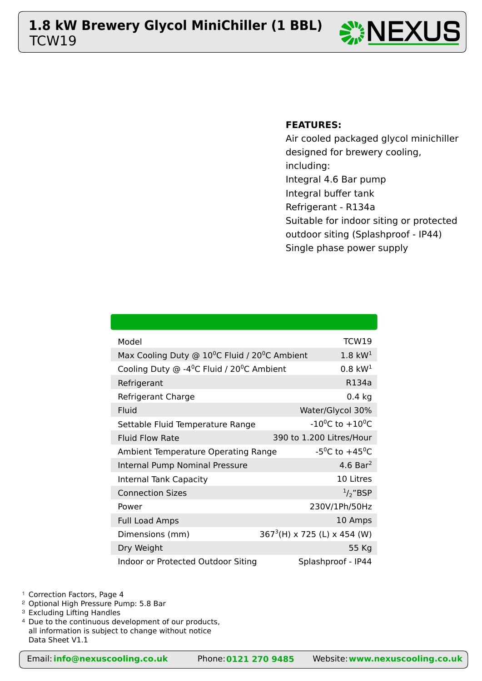## TCW19 **1.8 kW Brewery Glycol MiniChiller (1 BBL)** NEXUSTCW19





### **FEATURES:**

Air cooled packaged glycol minichiller designed for brewery cooling, including: Integral 4.6 Bar pump Integral buffer tank Refrigerant - R134a Suitable for indoor siting or protected outdoor siting (Splashproof - IP44) Single phase power supply

| Model                                                                    | <b>TCW19</b>                            |
|--------------------------------------------------------------------------|-----------------------------------------|
| Max Cooling Duty @ 10 <sup>o</sup> C Fluid / 20 <sup>o</sup> C Ambient   | $1.8 \text{ kW}^1$                      |
| Cooling Duty $\odot$ -4 <sup>o</sup> C Fluid / 20 <sup>o</sup> C Ambient | $0.8 \text{ kW}^1$                      |
| Refrigerant                                                              | R134a                                   |
| Refrigerant Charge                                                       | $0.4$ kg                                |
| Fluid                                                                    | Water/Glycol 30%                        |
| Settable Fluid Temperature Range                                         | $-10^{0}$ C to $+10^{0}$ C              |
| <b>Fluid Flow Rate</b>                                                   | 390 to 1.200 Litres/Hour                |
| Ambient Temperature Operating Range                                      | -5 <sup>o</sup> C to +45 <sup>o</sup> C |
| Internal Pump Nominal Pressure                                           | 4.6 Bar <sup>2</sup>                    |
| <b>Internal Tank Capacity</b>                                            | 10 Litres                               |
| <b>Connection Sizes</b>                                                  | $\frac{1}{2}$ "BSP                      |
| Power                                                                    | 230V/1Ph/50Hz                           |
| <b>Full Load Amps</b>                                                    | 10 Amps                                 |
| Dimensions (mm)                                                          | $3673(H) \times 725$ (L) x 454 (W)      |
| Dry Weight                                                               | 55 Kg                                   |
| Indoor or Protected Outdoor Siting                                       | Splashproof - IP44                      |

<sup>1</sup> Correction Factors, Page 4

<sup>2</sup> Optional High Pressure Pump: 5.8 Bar

<sup>3</sup> Excluding Lifting Handles

<sup>4</sup> Due to the continuous development of our products, all information is subject to change without notice Data Sheet V1.1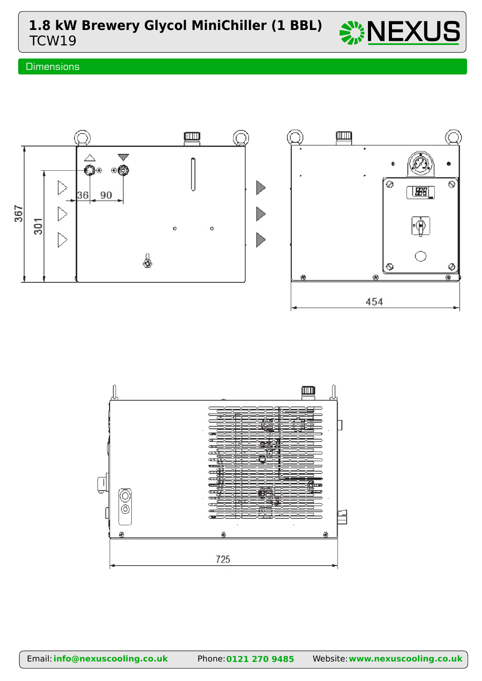

### **Dimensions**



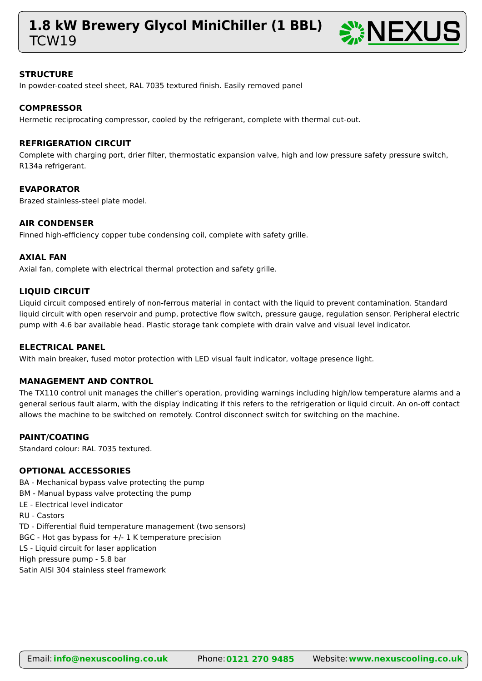# TCW19 **1.8 kW Brewery Glycol MiniChiller (1 BBL)** NEXUS



#### **STRUCTURE**

In powder-coated steel sheet, RAL 7035 textured finish. Easily removed panel

#### **COMPRESSOR**

Hermetic reciprocating compressor, cooled by the refrigerant, complete with thermal cut-out.

#### **REFRIGERATION CIRCUIT**

Complete with charging port, drier filter, thermostatic expansion valve, high and low pressure safety pressure switch, R134a refrigerant.

#### **EVAPORATOR**

Brazed stainless-steel plate model.

#### **AIR CONDENSER**

Finned high-efficiency copper tube condensing coil, complete with safety grille.

#### **AXIAL FAN**

Axial fan, complete with electrical thermal protection and safety grille.

#### **LIQUID CIRCUIT**

Liquid circuit composed entirely of non-ferrous material in contact with the liquid to prevent contamination. Standard liquid circuit with open reservoir and pump, protective flow switch, pressure gauge, regulation sensor. Peripheral electric pump with 4.6 bar available head. Plastic storage tank complete with drain valve and visual level indicator.

#### **ELECTRICAL PANEL**

With main breaker, fused motor protection with LED visual fault indicator, voltage presence light.

#### **MANAGEMENT AND CONTROL**

The TX110 control unit manages the chiller's operation, providing warnings including high/low temperature alarms and a general serious fault alarm, with the display indicating if this refers to the refrigeration or liquid circuit. An on-off contact allows the machine to be switched on remotely. Control disconnect switch for switching on the machine.

#### **PAINT/COATING**

Standard colour: RAL 7035 textured.

#### **OPTIONAL ACCESSORIES**

- BA Mechanical bypass valve protecting the pump
- BM Manual bypass valve protecting the pump
- LE Electrical level indicator
- RU Castors
- TD Differential fluid temperature management (two sensors)
- BGC Hot gas bypass for +/- 1 K temperature precision
- LS Liquid circuit for laser application
- High pressure pump 5.8 bar

Satin AISI 304 stainless steel framework